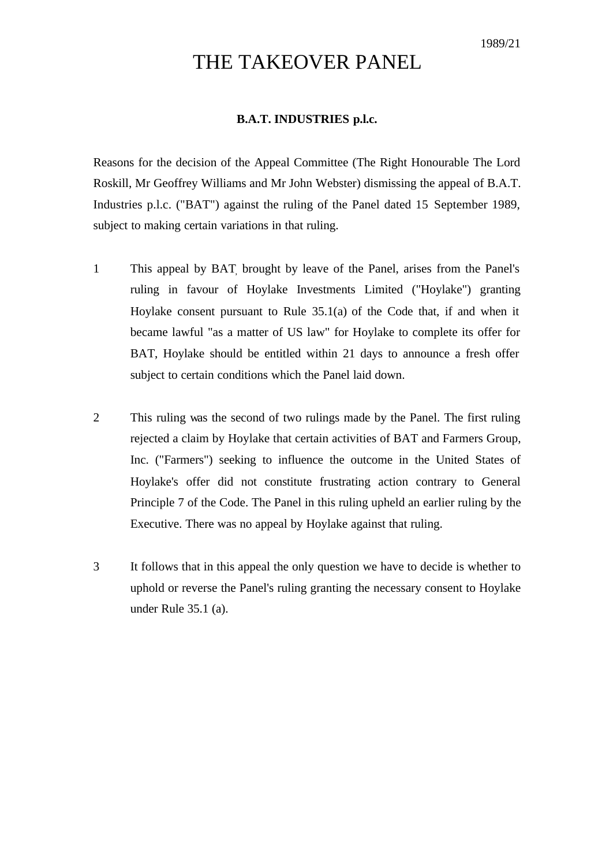## THE TAKEOVER PANEL

## **B.A.T. INDUSTRIES p.l.c.**

Reasons for the decision of the Appeal Committee (The Right Honourable The Lord Roskill, Mr Geoffrey Williams and Mr John Webster) dismissing the appeal of B.A.T. Industries p.l.c. ("BAT") against the ruling of the Panel dated 15 September 1989, subject to making certain variations in that ruling.

- 1 This appeal by BAT, brought by leave of the Panel, arises from the Panel's ruling in favour of Hoylake Investments Limited ("Hoylake") granting Hoylake consent pursuant to Rule 35.1(a) of the Code that, if and when it became lawful "as a matter of US law" for Hoylake to complete its offer for BAT, Hoylake should be entitled within 21 days to announce a fresh offer subject to certain conditions which the Panel laid down.
- 2 This ruling was the second of two rulings made by the Panel. The first ruling rejected a claim by Hoylake that certain activities of BAT and Farmers Group, Inc. ("Farmers") seeking to influence the outcome in the United States of Hoylake's offer did not constitute frustrating action contrary to General Principle 7 of the Code. The Panel in this ruling upheld an earlier ruling by the Executive. There was no appeal by Hoylake against that ruling.
- 3 It follows that in this appeal the only question we have to decide is whether to uphold or reverse the Panel's ruling granting the necessary consent to Hoylake under Rule 35.1 (a).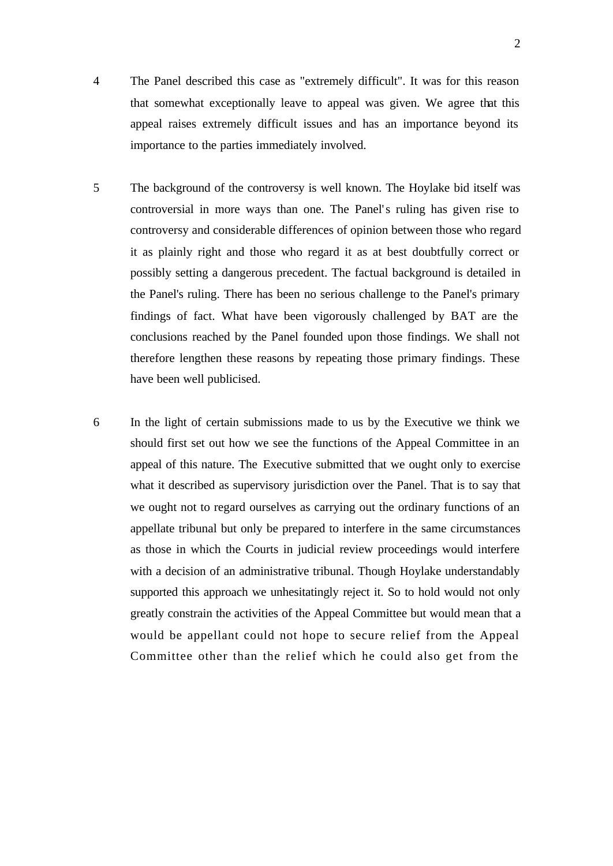- 4 The Panel described this case as "extremely difficult". It was for this reason that somewhat exceptionally leave to appeal was given. We agree that this appeal raises extremely difficult issues and has an importance beyond its importance to the parties immediately involved.
- 5 The background of the controversy is well known. The Hoylake bid itself was controversial in more ways than one. The Panel's ruling has given rise to controversy and considerable differences of opinion between those who regard it as plainly right and those who regard it as at best doubtfully correct or possibly setting a dangerous precedent. The factual background is detailed in the Panel's ruling. There has been no serious challenge to the Panel's primary findings of fact. What have been vigorously challenged by BAT are the conclusions reached by the Panel founded upon those findings. We shall not therefore lengthen these reasons by repeating those primary findings. These have been well publicised.
- 6 In the light of certain submissions made to us by the Executive we think we should first set out how we see the functions of the Appeal Committee in an appeal of this nature. The Executive submitted that we ought only to exercise what it described as supervisory jurisdiction over the Panel. That is to say that we ought not to regard ourselves as carrying out the ordinary functions of an appellate tribunal but only be prepared to interfere in the same circumstances as those in which the Courts in judicial review proceedings would interfere with a decision of an administrative tribunal. Though Hoylake understandably supported this approach we unhesitatingly reject it. So to hold would not only greatly constrain the activities of the Appeal Committee but would mean that a would be appellant could not hope to secure relief from the Appeal Committee other than the relief which he could also get from the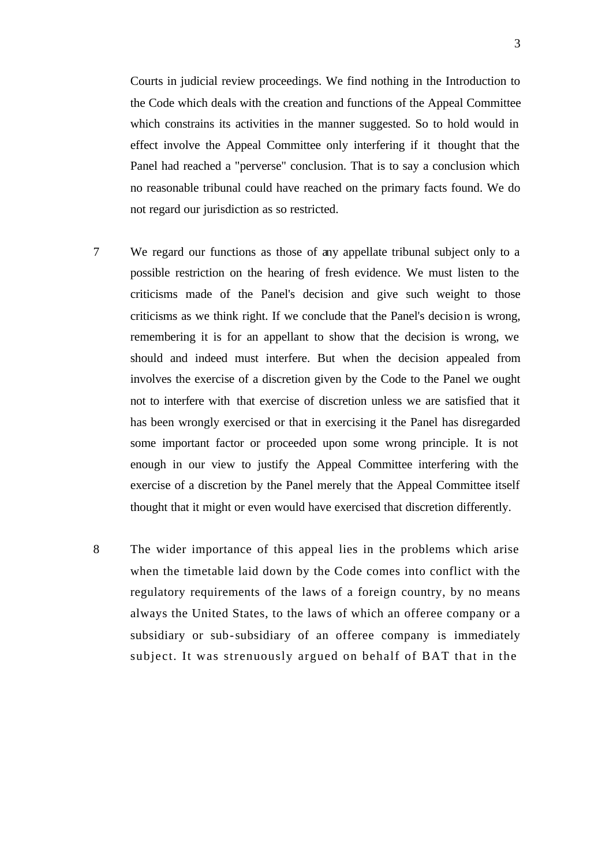Courts in judicial review proceedings. We find nothing in the Introduction to the Code which deals with the creation and functions of the Appeal Committee which constrains its activities in the manner suggested. So to hold would in effect involve the Appeal Committee only interfering if it thought that the Panel had reached a "perverse" conclusion. That is to say a conclusion which no reasonable tribunal could have reached on the primary facts found. We do not regard our jurisdiction as so restricted.

- 7 We regard our functions as those of any appellate tribunal subject only to a possible restriction on the hearing of fresh evidence. We must listen to the criticisms made of the Panel's decision and give such weight to those criticisms as we think right. If we conclude that the Panel's decision is wrong, remembering it is for an appellant to show that the decision is wrong, we should and indeed must interfere. But when the decision appealed from involves the exercise of a discretion given by the Code to the Panel we ought not to interfere with that exercise of discretion unless we are satisfied that it has been wrongly exercised or that in exercising it the Panel has disregarded some important factor or proceeded upon some wrong principle. It is not enough in our view to justify the Appeal Committee interfering with the exercise of a discretion by the Panel merely that the Appeal Committee itself thought that it might or even would have exercised that discretion differently.
- 8 The wider importance of this appeal lies in the problems which arise when the timetable laid down by the Code comes into conflict with the regulatory requirements of the laws of a foreign country, by no means always the United States, to the laws of which an offeree company or a subsidiary or sub-subsidiary of an offeree company is immediately subject. It was strenuously argued on behalf of BAT that in the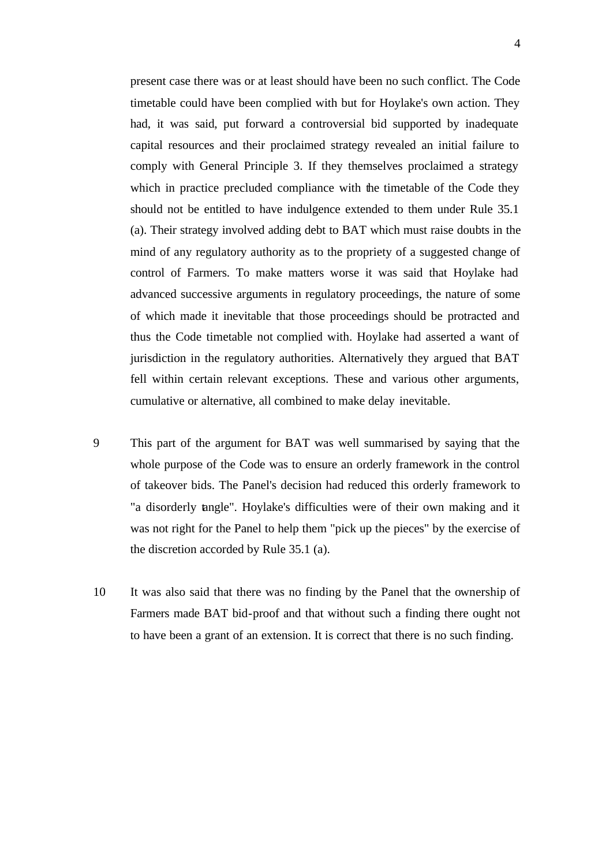present case there was or at least should have been no such conflict. The Code timetable could have been complied with but for Hoylake's own action. They had, it was said, put forward a controversial bid supported by inadequate capital resources and their proclaimed strategy revealed an initial failure to comply with General Principle 3. If they themselves proclaimed a strategy which in practice precluded compliance with the timetable of the Code they should not be entitled to have indulgence extended to them under Rule 35.1 (a). Their strategy involved adding debt to BAT which must raise doubts in the mind of any regulatory authority as to the propriety of a suggested change of control of Farmers. To make matters worse it was said that Hoylake had advanced successive arguments in regulatory proceedings, the nature of some of which made it inevitable that those proceedings should be protracted and thus the Code timetable not complied with. Hoylake had asserted a want of jurisdiction in the regulatory authorities. Alternatively they argued that BAT fell within certain relevant exceptions. These and various other arguments, cumulative or alternative, all combined to make delay inevitable.

- 9 This part of the argument for BAT was well summarised by saying that the whole purpose of the Code was to ensure an orderly framework in the control of takeover bids. The Panel's decision had reduced this orderly framework to "a disorderly tangle". Hoylake's difficulties were of their own making and it was not right for the Panel to help them "pick up the pieces" by the exercise of the discretion accorded by Rule 35.1 (a).
- 10 It was also said that there was no finding by the Panel that the ownership of Farmers made BAT bid-proof and that without such a finding there ought not to have been a grant of an extension. It is correct that there is no such finding.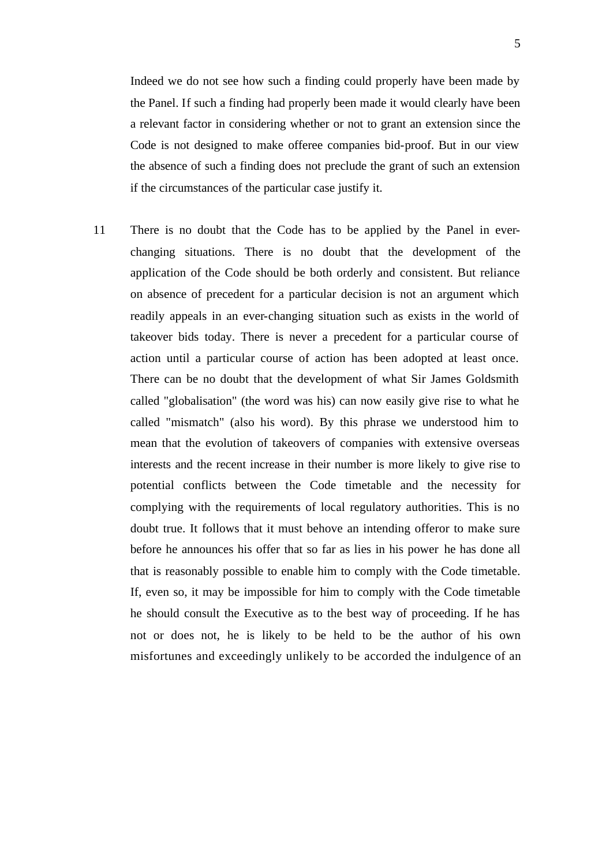Indeed we do not see how such a finding could properly have been made by the Panel. If such a finding had properly been made it would clearly have been a relevant factor in considering whether or not to grant an extension since the Code is not designed to make offeree companies bid-proof. But in our view the absence of such a finding does not preclude the grant of such an extension if the circumstances of the particular case justify it.

11 There is no doubt that the Code has to be applied by the Panel in everchanging situations. There is no doubt that the development of the application of the Code should be both orderly and consistent. But reliance on absence of precedent for a particular decision is not an argument which readily appeals in an ever-changing situation such as exists in the world of takeover bids today. There is never a precedent for a particular course of action until a particular course of action has been adopted at least once. There can be no doubt that the development of what Sir James Goldsmith called "globalisation" (the word was his) can now easily give rise to what he called "mismatch" (also his word). By this phrase we understood him to mean that the evolution of takeovers of companies with extensive overseas interests and the recent increase in their number is more likely to give rise to potential conflicts between the Code timetable and the necessity for complying with the requirements of local regulatory authorities. This is no doubt true. It follows that it must behove an intending offeror to make sure before he announces his offer that so far as lies in his power he has done all that is reasonably possible to enable him to comply with the Code timetable. If, even so, it may be impossible for him to comply with the Code timetable he should consult the Executive as to the best way of proceeding. If he has not or does not, he is likely to be held to be the author of his own misfortunes and exceedingly unlikely to be accorded the indulgence of an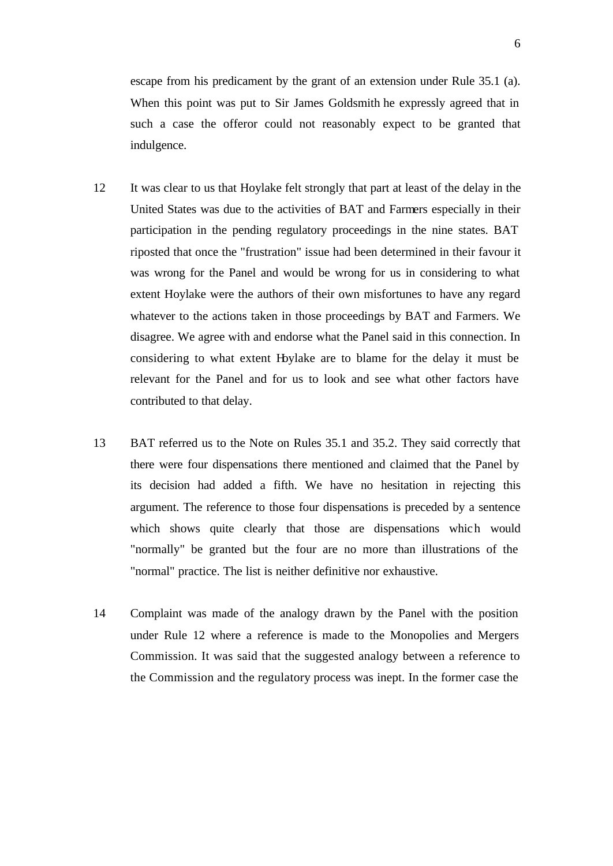escape from his predicament by the grant of an extension under Rule 35.1 (a). When this point was put to Sir James Goldsmith he expressly agreed that in such a case the offeror could not reasonably expect to be granted that indulgence.

- 12 It was clear to us that Hoylake felt strongly that part at least of the delay in the United States was due to the activities of BAT and Farmers especially in their participation in the pending regulatory proceedings in the nine states. BAT riposted that once the "frustration" issue had been determined in their favour it was wrong for the Panel and would be wrong for us in considering to what extent Hoylake were the authors of their own misfortunes to have any regard whatever to the actions taken in those proceedings by BAT and Farmers. We disagree. We agree with and endorse what the Panel said in this connection. In considering to what extent Hoylake are to blame for the delay it must be relevant for the Panel and for us to look and see what other factors have contributed to that delay.
- 13 BAT referred us to the Note on Rules 35.1 and 35.2. They said correctly that there were four dispensations there mentioned and claimed that the Panel by its decision had added a fifth. We have no hesitation in rejecting this argument. The reference to those four dispensations is preceded by a sentence which shows quite clearly that those are dispensations which would "normally" be granted but the four are no more than illustrations of the "normal" practice. The list is neither definitive nor exhaustive.
- 14 Complaint was made of the analogy drawn by the Panel with the position under Rule 12 where a reference is made to the Monopolies and Mergers Commission. It was said that the suggested analogy between a reference to the Commission and the regulatory process was inept. In the former case the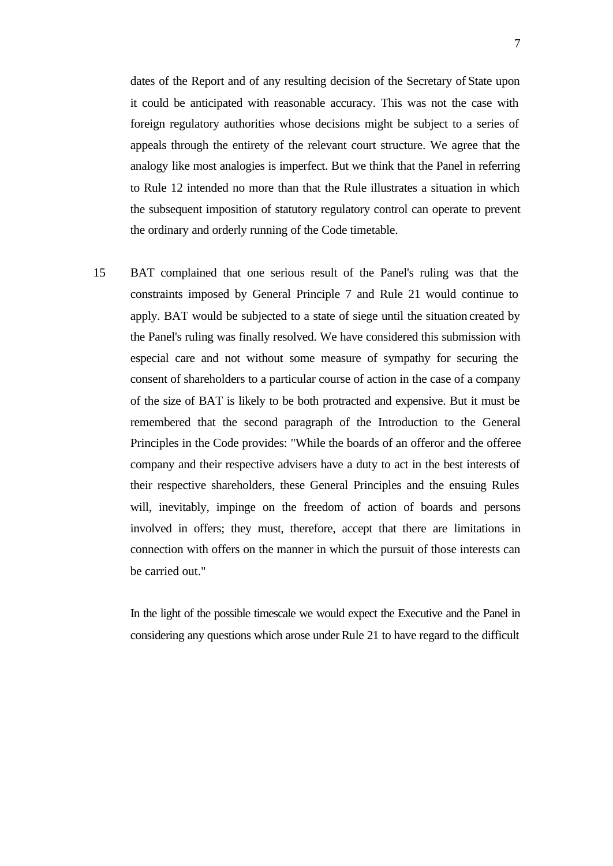dates of the Report and of any resulting decision of the Secretary of State upon it could be anticipated with reasonable accuracy. This was not the case with foreign regulatory authorities whose decisions might be subject to a series of appeals through the entirety of the relevant court structure. We agree that the analogy like most analogies is imperfect. But we think that the Panel in referring to Rule 12 intended no more than that the Rule illustrates a situation in which the subsequent imposition of statutory regulatory control can operate to prevent the ordinary and orderly running of the Code timetable.

15 BAT complained that one serious result of the Panel's ruling was that the constraints imposed by General Principle 7 and Rule 21 would continue to apply. BAT would be subjected to a state of siege until the situation created by the Panel's ruling was finally resolved. We have considered this submission with especial care and not without some measure of sympathy for securing the consent of shareholders to a particular course of action in the case of a company of the size of BAT is likely to be both protracted and expensive. But it must be remembered that the second paragraph of the Introduction to the General Principles in the Code provides: "While the boards of an offeror and the offeree company and their respective advisers have a duty to act in the best interests of their respective shareholders, these General Principles and the ensuing Rules will, inevitably, impinge on the freedom of action of boards and persons involved in offers; they must, therefore, accept that there are limitations in connection with offers on the manner in which the pursuit of those interests can be carried out."

In the light of the possible timescale we would expect the Executive and the Panel in considering any questions which arose under Rule 21 to have regard to the difficult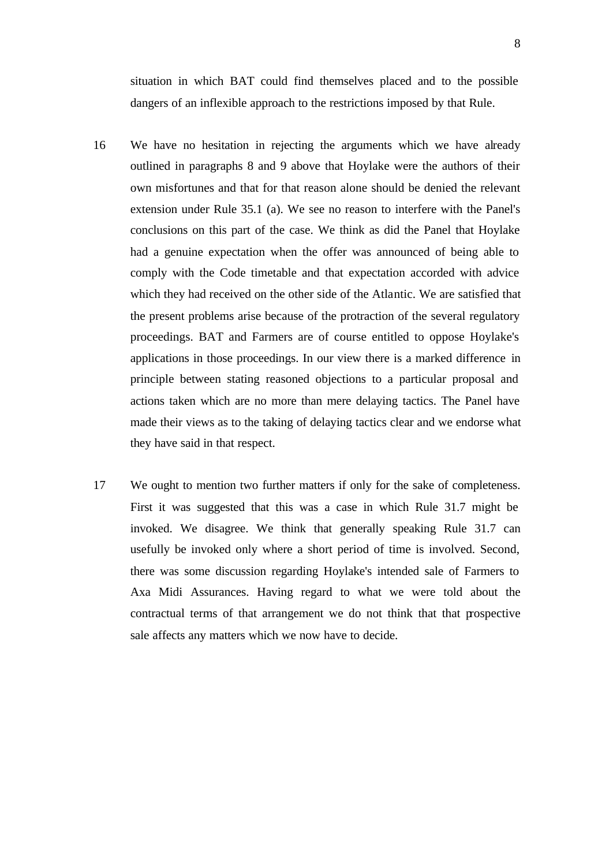situation in which BAT could find themselves placed and to the possible dangers of an inflexible approach to the restrictions imposed by that Rule.

- 16 We have no hesitation in rejecting the arguments which we have already outlined in paragraphs 8 and 9 above that Hoylake were the authors of their own misfortunes and that for that reason alone should be denied the relevant extension under Rule 35.1 (a). We see no reason to interfere with the Panel's conclusions on this part of the case. We think as did the Panel that Hoylake had a genuine expectation when the offer was announced of being able to comply with the Code timetable and that expectation accorded with advice which they had received on the other side of the Atlantic. We are satisfied that the present problems arise because of the protraction of the several regulatory proceedings. BAT and Farmers are of course entitled to oppose Hoylake's applications in those proceedings. In our view there is a marked difference in principle between stating reasoned objections to a particular proposal and actions taken which are no more than mere delaying tactics. The Panel have made their views as to the taking of delaying tactics clear and we endorse what they have said in that respect.
- 17 We ought to mention two further matters if only for the sake of completeness. First it was suggested that this was a case in which Rule 31.7 might be invoked. We disagree. We think that generally speaking Rule 31.7 can usefully be invoked only where a short period of time is involved. Second, there was some discussion regarding Hoylake's intended sale of Farmers to Axa Midi Assurances. Having regard to what we were told about the contractual terms of that arrangement we do not think that that prospective sale affects any matters which we now have to decide.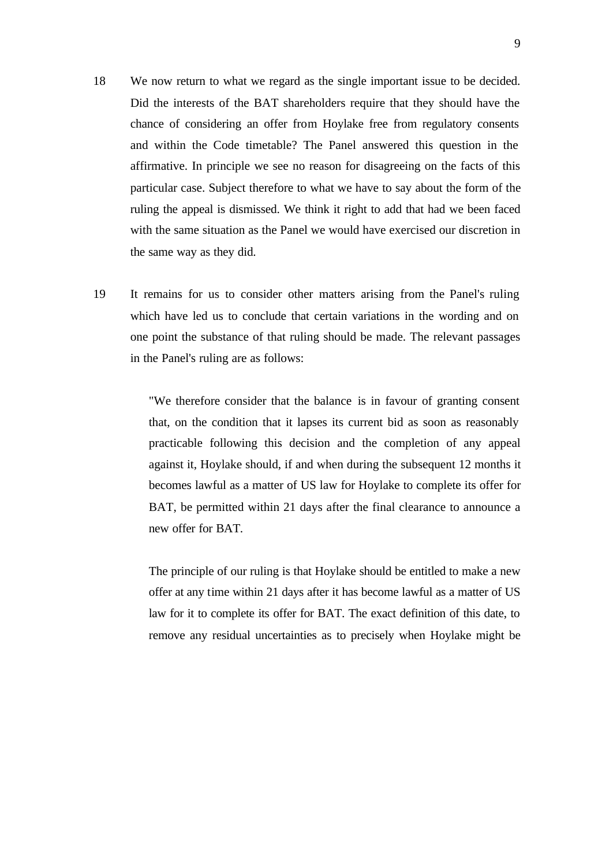- 18 We now return to what we regard as the single important issue to be decided. Did the interests of the BAT shareholders require that they should have the chance of considering an offer from Hoylake free from regulatory consents and within the Code timetable? The Panel answered this question in the affirmative. In principle we see no reason for disagreeing on the facts of this particular case. Subject therefore to what we have to say about the form of the ruling the appeal is dismissed. We think it right to add that had we been faced with the same situation as the Panel we would have exercised our discretion in the same way as they did.
- 19 It remains for us to consider other matters arising from the Panel's ruling which have led us to conclude that certain variations in the wording and on one point the substance of that ruling should be made. The relevant passages in the Panel's ruling are as follows:

"We therefore consider that the balance is in favour of granting consent that, on the condition that it lapses its current bid as soon as reasonably practicable following this decision and the completion of any appeal against it, Hoylake should, if and when during the subsequent 12 months it becomes lawful as a matter of US law for Hoylake to complete its offer for BAT, be permitted within 21 days after the final clearance to announce a new offer for BAT.

The principle of our ruling is that Hoylake should be entitled to make a new offer at any time within 21 days after it has become lawful as a matter of US law for it to complete its offer for BAT. The exact definition of this date, to remove any residual uncertainties as to precisely when Hoylake might be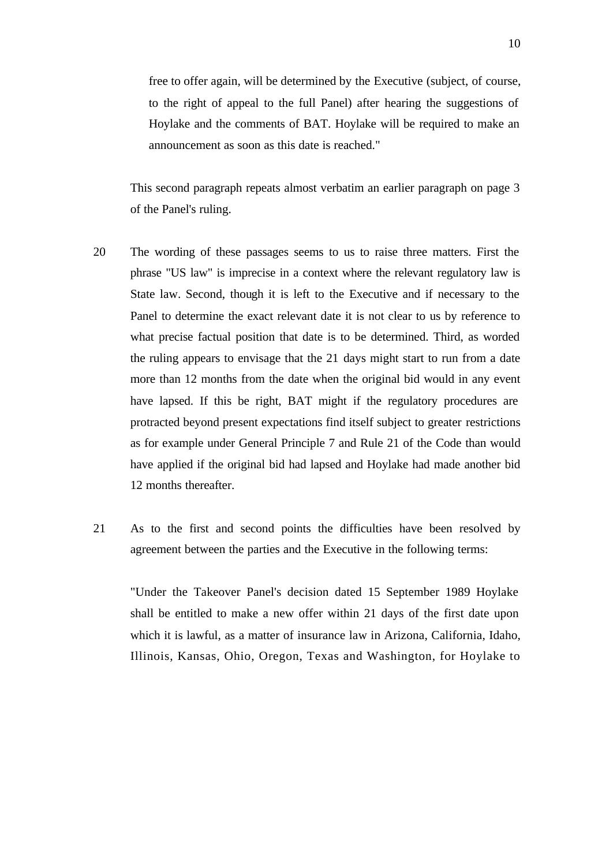free to offer again, will be determined by the Executive (subject, of course, to the right of appeal to the full Panel) after hearing the suggestions of Hoylake and the comments of BAT. Hoylake will be required to make an announcement as soon as this date is reached."

This second paragraph repeats almost verbatim an earlier paragraph on page 3 of the Panel's ruling.

- 20 The wording of these passages seems to us to raise three matters. First the phrase "US law" is imprecise in a context where the relevant regulatory law is State law. Second, though it is left to the Executive and if necessary to the Panel to determine the exact relevant date it is not clear to us by reference to what precise factual position that date is to be determined. Third, as worded the ruling appears to envisage that the 21 days might start to run from a date more than 12 months from the date when the original bid would in any event have lapsed. If this be right, BAT might if the regulatory procedures are protracted beyond present expectations find itself subject to greater restrictions as for example under General Principle 7 and Rule 21 of the Code than would have applied if the original bid had lapsed and Hoylake had made another bid 12 months thereafter.
- 21 As to the first and second points the difficulties have been resolved by agreement between the parties and the Executive in the following terms:

"Under the Takeover Panel's decision dated 15 September 1989 Hoylake shall be entitled to make a new offer within 21 days of the first date upon which it is lawful, as a matter of insurance law in Arizona, California, Idaho, Illinois, Kansas, Ohio, Oregon, Texas and Washington, for Hoylake to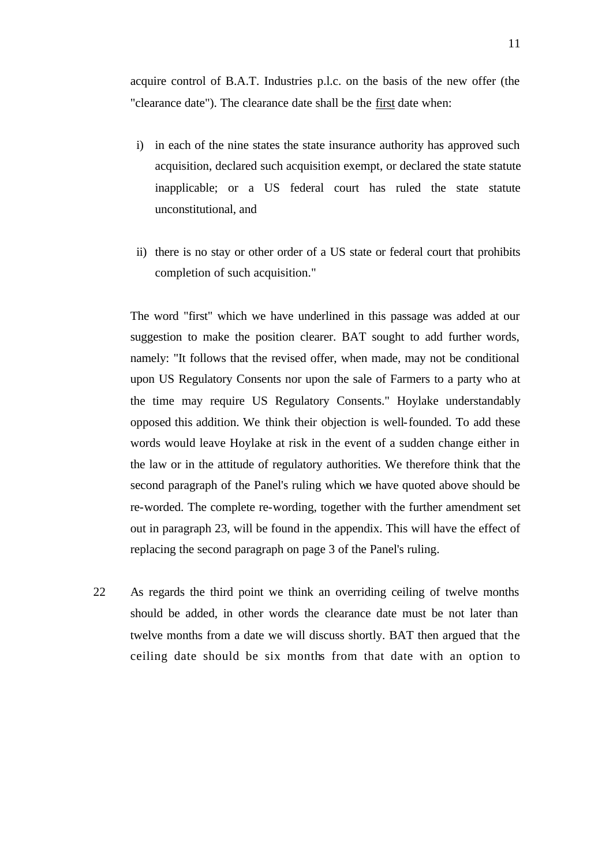acquire control of B.A.T. Industries p.l.c. on the basis of the new offer (the "clearance date"). The clearance date shall be the first date when:

- i) in each of the nine states the state insurance authority has approved such acquisition, declared such acquisition exempt, or declared the state statute inapplicable; or a US federal court has ruled the state statute unconstitutional, and
- ii) there is no stay or other order of a US state or federal court that prohibits completion of such acquisition."

The word "first" which we have underlined in this passage was added at our suggestion to make the position clearer. BAT sought to add further words, namely: "It follows that the revised offer, when made, may not be conditional upon US Regulatory Consents nor upon the sale of Farmers to a party who at the time may require US Regulatory Consents." Hoylake understandably opposed this addition. We think their objection is well-founded. To add these words would leave Hoylake at risk in the event of a sudden change either in the law or in the attitude of regulatory authorities. We therefore think that the second paragraph of the Panel's ruling which we have quoted above should be re-worded. The complete re-wording, together with the further amendment set out in paragraph 23, will be found in the appendix. This will have the effect of replacing the second paragraph on page 3 of the Panel's ruling.

22 As regards the third point we think an overriding ceiling of twelve months should be added, in other words the clearance date must be not later than twelve months from a date we will discuss shortly. BAT then argued that the ceiling date should be six months from that date with an option to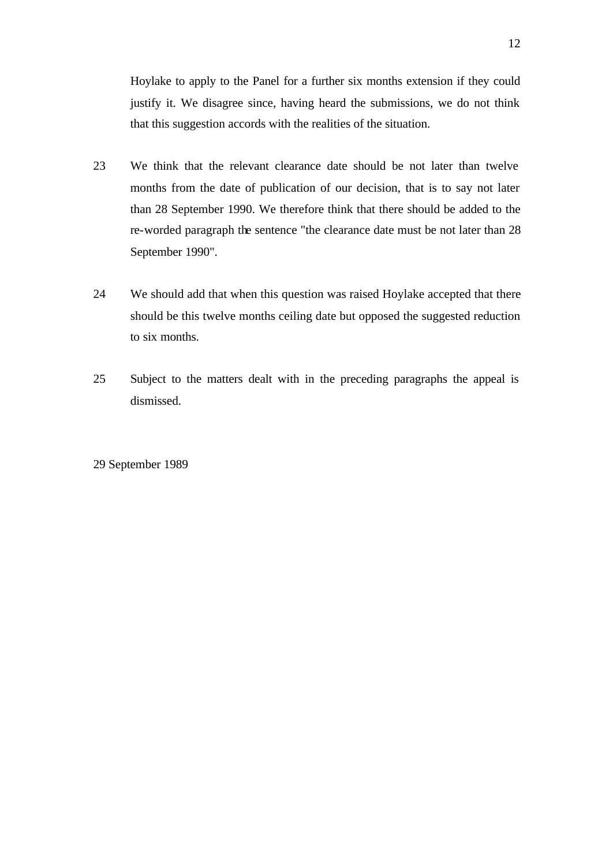Hoylake to apply to the Panel for a further six months extension if they could justify it. We disagree since, having heard the submissions, we do not think that this suggestion accords with the realities of the situation.

- 23 We think that the relevant clearance date should be not later than twelve months from the date of publication of our decision, that is to say not later than 28 September 1990. We therefore think that there should be added to the re-worded paragraph the sentence "the clearance date must be not later than 28 September 1990".
- 24 We should add that when this question was raised Hoylake accepted that there should be this twelve months ceiling date but opposed the suggested reduction to six months.
- 25 Subject to the matters dealt with in the preceding paragraphs the appeal is dismissed.

29 September 1989